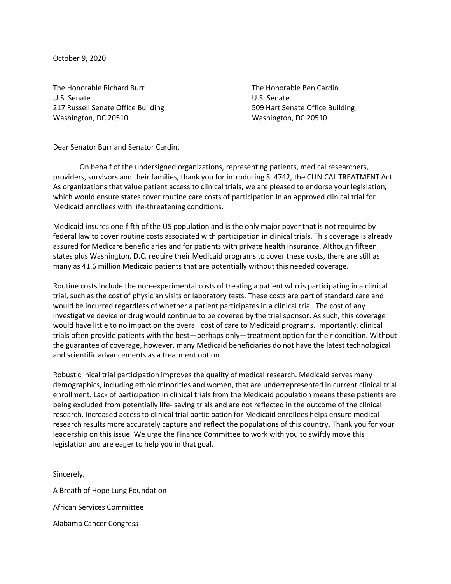October 9, 2020

The Honorable Richard Burr U.S. Senate 217 Russell Senate Office Building Washington, DC 20510

The Honorable Ben Cardin U.S. Senate 509 Hart Senate Office Building Washington, DC 20510

Dear Senator Burr and Senator Cardin,

On behalf of the undersigned organizations, representing patients, medical researchers, providers, survivors and their families, thank you for introducing S. 4742, the CLINICAL TREATMENT Act. As organizations that value patient access to clinical trials, we are pleased to endorse your legislation, which would ensure states cover routine care costs of participation in an approved clinical trial for Medicaid enrollees with life-threatening conditions.

Medicaid insures one-fifth of the US population and is the only major payer that is not required by federal law to cover routine costs associated with participation in clinical trials. This coverage is already assured for Medicare beneficiaries and for patients with private health insurance. Although fifteen states plus Washington, D.C. require their Medicaid programs to cover these costs, there are still as many as 41.6 million Medicaid patients that are potentially without this needed coverage.

Routine costs include the non-experimental costs of treating a patient who is participating in a clinical trial, such as the cost of physician visits or laboratory tests. These costs are part of standard care and would be incurred regardless of whether a patient participates in a clinical trial. The cost of any investigative device or drug would continue to be covered by the trial sponsor. As such, this coverage would have little to no impact on the overall cost of care to Medicaid programs. Importantly, clinical trials often provide patients with the best—perhaps only—treatment option for their condition. Without the guarantee of coverage, however, many Medicaid beneficiaries do not have the latest technological and scientific advancements as a treatment option.

Robust clinical trial participation improves the quality of medical research. Medicaid serves many demographics, including ethnic minorities and women, that are underrepresented in current clinical trial enrollment. Lack of participation in clinical trials from the Medicaid population means these patients are being excluded from potentially life- saving trials and are not reflected in the outcome of the clinical research. Increased access to clinical trial participation for Medicaid enrollees helps ensure medical research results more accurately capture and reflect the populations of this country. Thank you for your leadership on this issue. We urge the Finance Committee to work with you to swiftly move this legislation and are eager to help you in that goal.

Sincerely, A Breath of Hope Lung Foundation African Services Committee Alabama Cancer Congress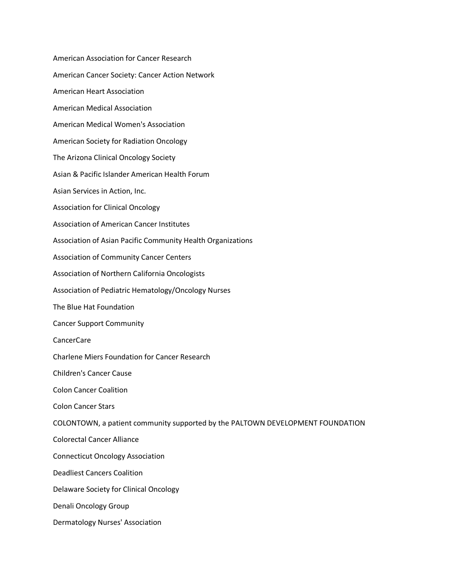American Association for Cancer Research American Cancer Society: Cancer Action Network American Heart Association American Medical Association American Medical Women's Association American Society for Radiation Oncology The Arizona Clinical Oncology Society Asian & Pacific Islander American Health Forum Asian Services in Action, Inc. Association for Clinical Oncology Association of American Cancer Institutes Association of Asian Pacific Community Health Organizations Association of Community Cancer Centers Association of Northern California Oncologists Association of Pediatric Hematology/Oncology Nurses The Blue Hat Foundation Cancer Support Community CancerCare Charlene Miers Foundation for Cancer Research Children's Cancer Cause Colon Cancer Coalition Colon Cancer Stars COLONTOWN, a patient community supported by the PALTOWN DEVELOPMENT FOUNDATION Colorectal Cancer Alliance Connecticut Oncology Association Deadliest Cancers Coalition Delaware Society for Clinical Oncology Denali Oncology Group Dermatology Nurses' Association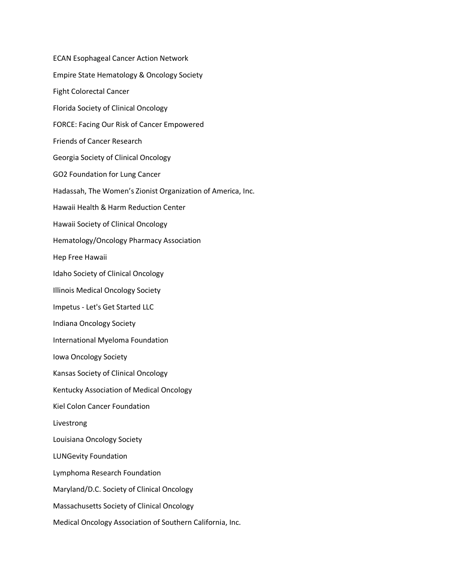ECAN Esophageal Cancer Action Network Empire State Hematology & Oncology Society Fight Colorectal Cancer Florida Society of Clinical Oncology FORCE: Facing Our Risk of Cancer Empowered Friends of Cancer Research Georgia Society of Clinical Oncology GO2 Foundation for Lung Cancer Hadassah, The Women's Zionist Organization of America, Inc. Hawaii Health & Harm Reduction Center Hawaii Society of Clinical Oncology Hematology/Oncology Pharmacy Association Hep Free Hawaii Idaho Society of Clinical Oncology Illinois Medical Oncology Society Impetus - Let's Get Started LLC Indiana Oncology Society International Myeloma Foundation Iowa Oncology Society Kansas Society of Clinical Oncology Kentucky Association of Medical Oncology Kiel Colon Cancer Foundation Livestrong Louisiana Oncology Society LUNGevity Foundation Lymphoma Research Foundation Maryland/D.C. Society of Clinical Oncology Massachusetts Society of Clinical Oncology Medical Oncology Association of Southern California, Inc.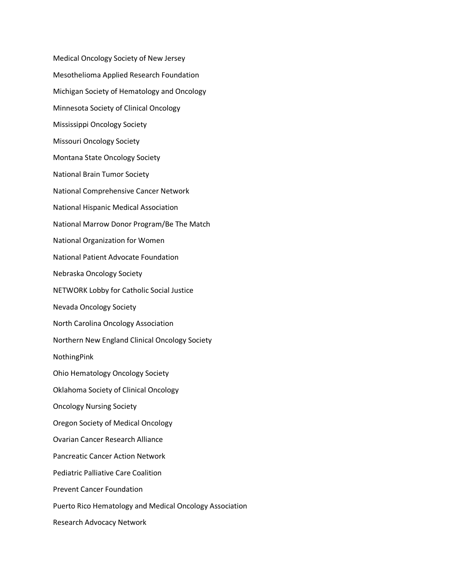Medical Oncology Society of New Jersey Mesothelioma Applied Research Foundation Michigan Society of Hematology and Oncology Minnesota Society of Clinical Oncology Mississippi Oncology Society Missouri Oncology Society Montana State Oncology Society National Brain Tumor Society National Comprehensive Cancer Network National Hispanic Medical Association National Marrow Donor Program/Be The Match National Organization for Women National Patient Advocate Foundation Nebraska Oncology Society NETWORK Lobby for Catholic Social Justice Nevada Oncology Society North Carolina Oncology Association Northern New England Clinical Oncology Society NothingPink Ohio Hematology Oncology Society Oklahoma Society of Clinical Oncology Oncology Nursing Society Oregon Society of Medical Oncology Ovarian Cancer Research Alliance Pancreatic Cancer Action Network Pediatric Palliative Care Coalition Prevent Cancer Foundation Puerto Rico Hematology and Medical Oncology Association Research Advocacy Network